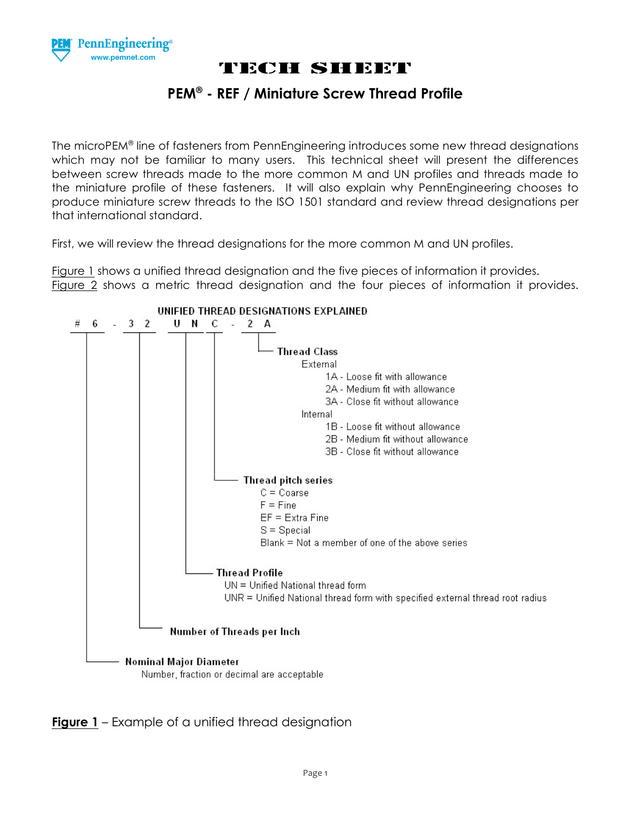

#### **PEM® - REF / Miniature Screw Thread Profile**

The microPEM® line of fasteners from PennEngineering introduces some new thread designations which may not be familiar to many users. This technical sheet will present the differences between screw threads made to the more common M and UN profiles and threads made to the miniature profile of these fasteners. It will also explain why PennEngineering chooses to produce miniature screw threads to the ISO 1501 standard and review thread designations per that international standard.

First, we will review the thread designations for the more common M and UN profiles.

Figure 1 shows a unified thread designation and the five pieces of information it provides. Figure 2 shows a metric thread designation and the four pieces of information it provides.



**Figure 1** – Example of a unified thread designation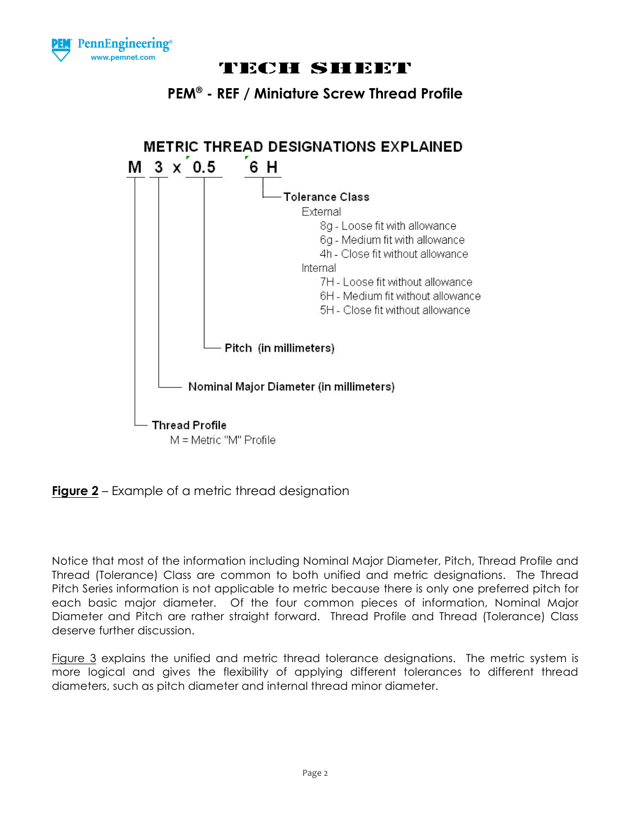





**Figure 2** – Example of a metric thread designation

Notice that most of the information including Nominal Major Diameter, Pitch, Thread Profile and Thread (Tolerance) Class are common to both unified and metric designations. The Thread Pitch Series information is not applicable to metric because there is only one preferred pitch for each basic major diameter. Of the four common pieces of information, Nominal Major Diameter and Pitch are rather straight forward. Thread Profile and Thread (Tolerance) Class deserve further discussion.

Figure 3 explains the unified and metric thread tolerance designations. The metric system is more logical and gives the flexibility of applying different tolerances to different thread diameters, such as pitch diameter and internal thread minor diameter.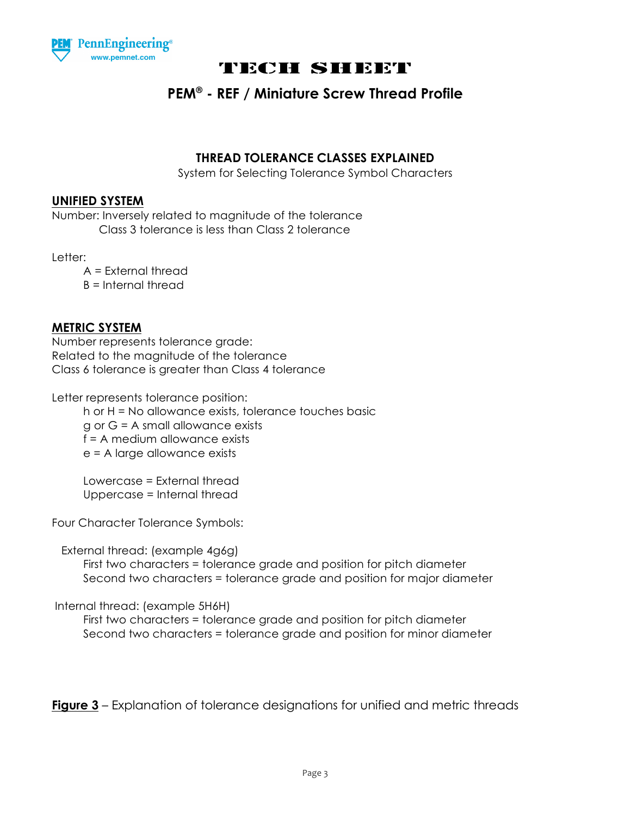

### **PEM® - REF / Miniature Screw Thread Profile**

#### **THREAD TOLERANCE CLASSES EXPLAINED**

System for Selecting Tolerance Symbol Characters

#### **UNIFIED SYSTEM**

Number: Inversely related to magnitude of the tolerance Class 3 tolerance is less than Class 2 tolerance

Letter:

 A = External thread B = Internal thread

#### **METRIC SYSTEM**

Number represents tolerance grade: Related to the magnitude of the tolerance Class 6 tolerance is greater than Class 4 tolerance

Letter represents tolerance position:

 h or H = No allowance exists, tolerance touches basic  $g$  or  $G = A$  small allowance exists f = A medium allowance exists

e = A large allowance exists

 Lowercase = External thread Uppercase = Internal thread

Four Character Tolerance Symbols:

External thread: (example 4g6g)

 First two characters = tolerance grade and position for pitch diameter Second two characters = tolerance grade and position for major diameter

Internal thread: (example 5H6H)

 First two characters = tolerance grade and position for pitch diameter Second two characters = tolerance grade and position for minor diameter

**Figure 3** – Explanation of tolerance designations for unified and metric threads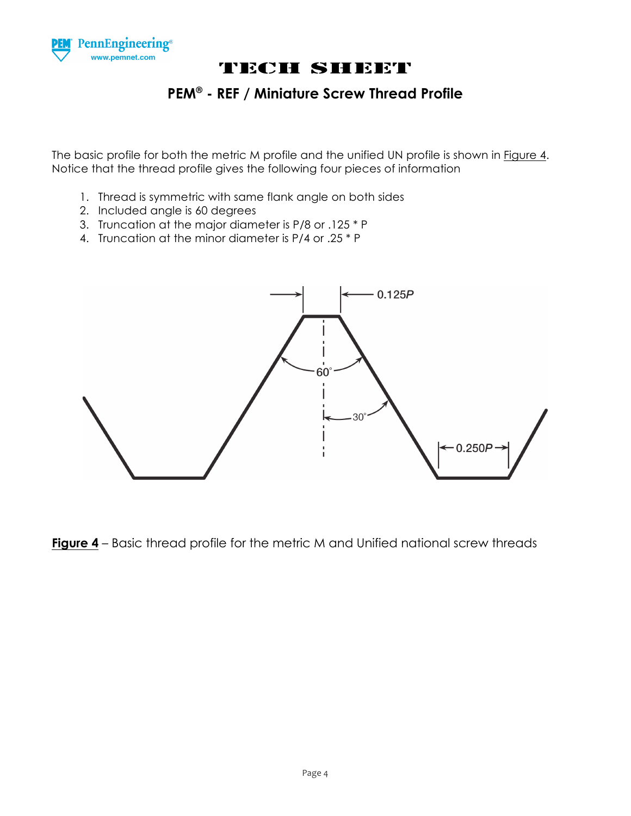

### **PEM® - REF / Miniature Screw Thread Profile**

The basic profile for both the metric M profile and the unified UN profile is shown in Figure 4. Notice that the thread profile gives the following four pieces of information

- 1. Thread is symmetric with same flank angle on both sides
- 2. Included angle is 60 degrees
- 3. Truncation at the major diameter is P/8 or .125 \* P
- 4. Truncation at the minor diameter is P/4 or .25 \* P



**Figure 4** – Basic thread profile for the metric M and Unified national screw threads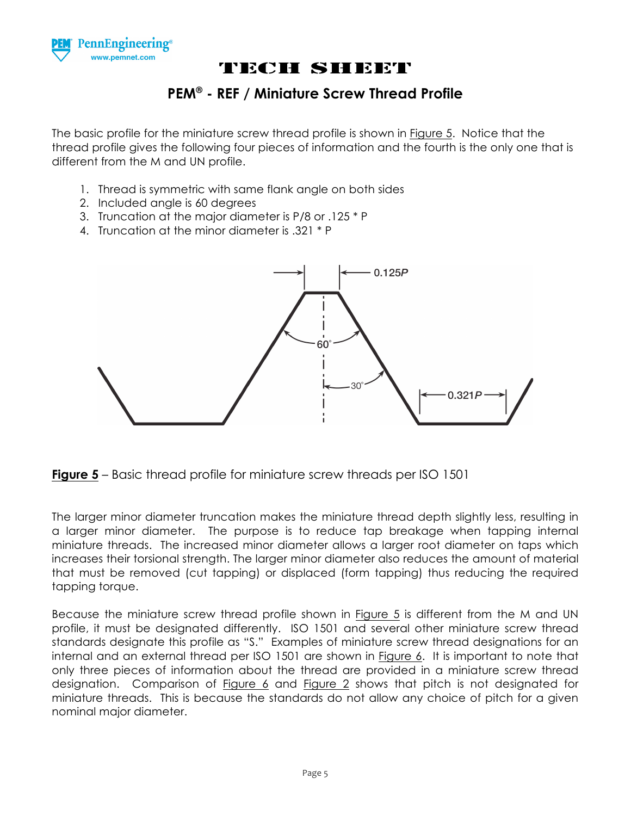

### **PEM® - REF / Miniature Screw Thread Profile**

The basic profile for the miniature screw thread profile is shown in Figure 5. Notice that the thread profile gives the following four pieces of information and the fourth is the only one that is different from the M and UN profile.

- 1. Thread is symmetric with same flank angle on both sides
- 2. Included angle is 60 degrees
- 3. Truncation at the major diameter is P/8 or .125 \* P
- 4. Truncation at the minor diameter is .321 \* P





The larger minor diameter truncation makes the miniature thread depth slightly less, resulting in a larger minor diameter. The purpose is to reduce tap breakage when tapping internal miniature threads. The increased minor diameter allows a larger root diameter on taps which increases their torsional strength. The larger minor diameter also reduces the amount of material that must be removed (cut tapping) or displaced (form tapping) thus reducing the required tapping torque.

Because the miniature screw thread profile shown in Figure 5 is different from the M and UN profile, it must be designated differently. ISO 1501 and several other miniature screw thread standards designate this profile as "S." Examples of miniature screw thread designations for an internal and an external thread per ISO 1501 are shown in Figure 6. It is important to note that only three pieces of information about the thread are provided in a miniature screw thread designation. Comparison of Figure 6 and Figure 2 shows that pitch is not designated for miniature threads. This is because the standards do not allow any choice of pitch for a given nominal major diameter.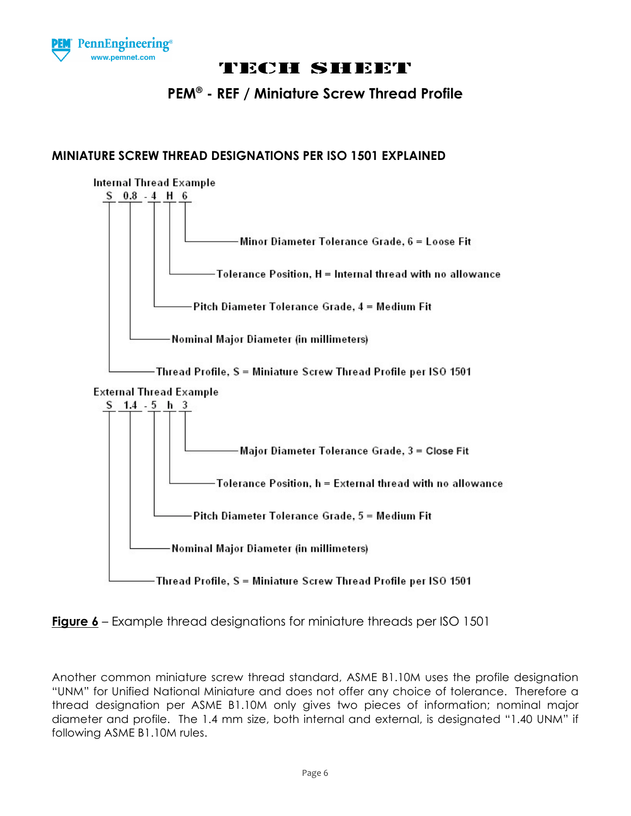

### **PEM® - REF / Miniature Screw Thread Profile**

#### **MINIATURE SCREW THREAD DESIGNATIONS PER ISO 1501 EXPLAINED**





Another common miniature screw thread standard, ASME B1.10M uses the profile designation "UNM" for Unified National Miniature and does not offer any choice of tolerance. Therefore a thread designation per ASME B1.10M only gives two pieces of information; nominal major diameter and profile. The 1.4 mm size, both internal and external, is designated "1.40 UNM" if following ASME B1.10M rules.